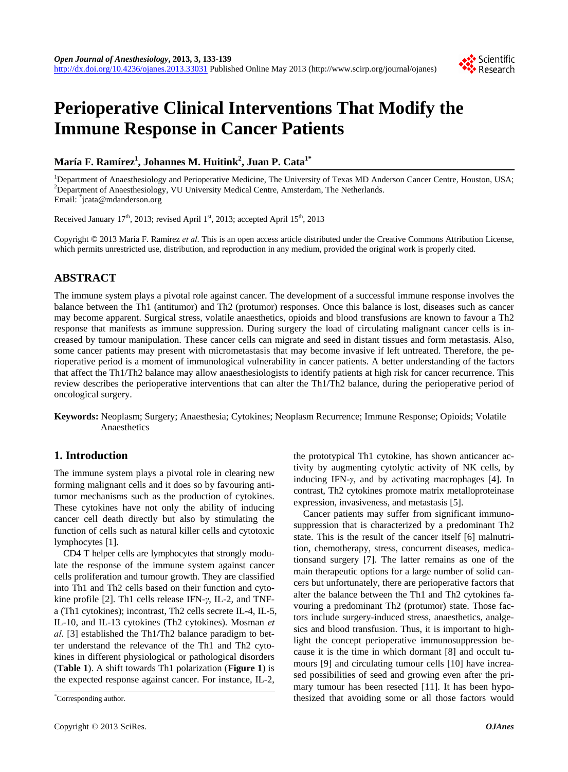# **Perioperative Clinical Interventions That Modify the Immune Response in Cancer Patients**

# **María F. Ramírez1 , Johannes M. Huitink<sup>2</sup> , Juan P. Cata1\***

<sup>1</sup>Department of Anaesthesiology and Perioperative Medicine, The University of Texas MD Anderson Cancer Centre, Houston, USA;<br><sup>2</sup>Department of Anaesthesiology WU University Medical Centre, Ameterdam The Netherlands <sup>2</sup>Department of Anaesthesiology, VU University Medical Centre, Amsterdam, The Netherlands. Email: \* jcata@mdanderson.org

Received January 17<sup>th</sup>, 2013; revised April 1<sup>st</sup>, 2013; accepted April 15<sup>th</sup>, 2013

Copyright © 2013 María F. Ramírez *et al*. This is an open access article distributed under the Creative Commons Attribution License, which permits unrestricted use, distribution, and reproduction in any medium, provided the original work is properly cited.

# **ABSTRACT**

The immune system plays a pivotal role against cancer. The development of a successful immune response involves the balance between the Th1 (antitumor) and Th2 (protumor) responses. Once this balance is lost, diseases such as cancer may become apparent. Surgical stress, volatile anaesthetics, opioids and blood transfusions are known to favour a Th2 response that manifests as immune suppression. During surgery the load of circulating malignant cancer cells is increased by tumour manipulation. These cancer cells can migrate and seed in distant tissues and form metastasis. Also, some cancer patients may present with micrometastasis that may become invasive if left untreated. Therefore, the perioperative period is a moment of immunological vulnerability in cancer patients. A better understanding of the factors that affect the Th1/Th2 balance may allow anaesthesiologists to identify patients at high risk for cancer recurrence. This review describes the perioperative interventions that can alter the Th1/Th2 balance, during the perioperative period of oncological surgery.

**Keywords:** Neoplasm; Surgery; Anaesthesia; Cytokines; Neoplasm Recurrence; Immune Response; Opioids; Volatile Anaesthetics

## **1. Introduction**

The immune system plays a pivotal role in clearing new forming malignant cells and it does so by favouring antitumor mechanisms such as the production of cytokines. These cytokines have not only the ability of inducing cancer cell death directly but also by stimulating the function of cells such as natural killer cells and cytotoxic lymphocytes [1].

CD4 T helper cells are lymphocytes that strongly modulate the response of the immune system against cancer cells proliferation and tumour growth. They are classified into Th1 and Th2 cells based on their function and cytokine profile [2]. Th1 cells release IFN-*γ*, IL-2, and TNFa (Th1 cytokines); incontrast, Th2 cells secrete IL-4, IL-5, IL-10, and IL-13 cytokines (Th2 cytokines). Mosman *et al*. [3] established the Th1/Th2 balance paradigm to better understand the relevance of the Th1 and Th2 cytokines in different physiological or pathological disorders (**Table 1**). A shift towards Th1 polarization (**Figure 1**) is the expected response against cancer. For instance, IL-2,

the prototypical Th1 cytokine, has shown anticancer activity by augmenting cytolytic activity of NK cells, by inducing IFN-*γ*, and by activating macrophages [4]. In contrast, Th2 cytokines promote matrix metalloproteinase expression, invasiveness, and metastasis [5].

Cancer patients may suffer from significant immunosuppression that is characterized by a predominant Th2 state. This is the result of the cancer itself [6] malnutrition, chemotherapy, stress, concurrent diseases, medicationsand surgery [7]. The latter remains as one of the main therapeutic options for a large number of solid cancers but unfortunately, there are perioperative factors that alter the balance between the Th1 and Th2 cytokines favouring a predominant Th2 (protumor) state. Those factors include surgery-induced stress, anaesthetics, analgesics and blood transfusion. Thus, it is important to highlight the concept perioperative immunosuppression because it is the time in which dormant [8] and occult tumours [9] and circulating tumour cells [10] have increased possibilities of seed and growing even after the primary tumour has been resected [11]. It has been hypothesized that avoiding some or all those factors would \*



Corresponding author.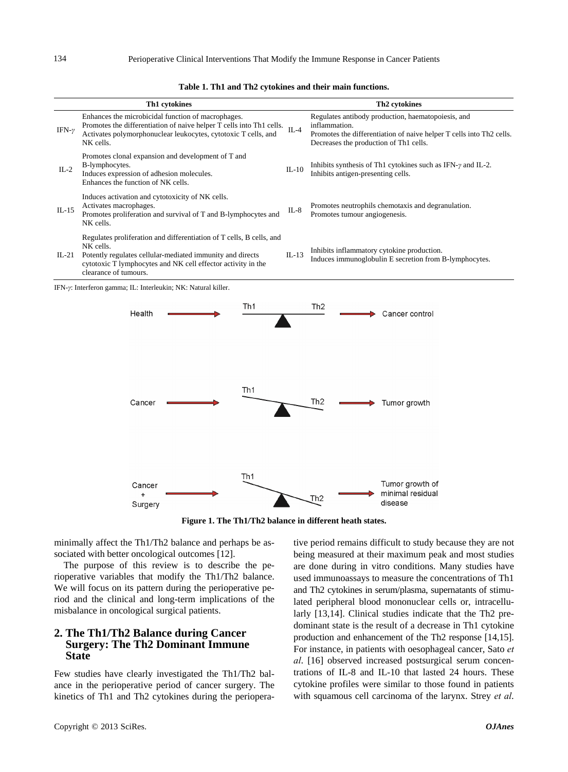|               | Th1 cytokines                                                                                                                                                                                             |           | Th <sub>2</sub> cytokines                                                                                                                                                             |
|---------------|-----------------------------------------------------------------------------------------------------------------------------------------------------------------------------------------------------------|-----------|---------------------------------------------------------------------------------------------------------------------------------------------------------------------------------------|
| IFN- $\gamma$ | Enhances the microbicidal function of macrophages.<br>Promotes the differentiation of naive helper T cells into Th1 cells.<br>Activates polymorphonuclear leukocytes, cytotoxic T cells, and<br>NK cells. | $\Pi - 4$ | Regulates antibody production, haematopoiesis, and<br>inflammation.<br>Promotes the differentiation of naive helper T cells into Th2 cells.<br>Decreases the production of Th1 cells. |
| $IL-2$        | Promotes clonal expansion and development of T and<br>B-lymphocytes.<br>Induces expression of adhesion molecules.<br>Enhances the function of NK cells.                                                   | $IL-10$   | Inhibits synthesis of Th1 cytokines such as IFN- $\gamma$ and IL-2.<br>Inhibits antigen-presenting cells.                                                                             |
| $IL-15$       | Induces activation and cytotoxicity of NK cells.<br>Activates macrophages.<br>Promotes proliferation and survival of T and B-lymphocytes and                                                              | $IL-8$    | Promotes neutrophils chemotaxis and degranulation.<br>Promotes tumour angiogenesis.                                                                                                   |

**Table 1. Th1 and Th2 cytokines and their main functions.**

IL-21 NK cells. Potently regulates cellular-mediated immunity and directs cytotoxic T lymphocytes and NK cell effector activity in the clearance of tumours.

Regulates proliferation and differentiation of T cells, B cells, and

| $IL-13$ | Inhibits inflammatory cytokine production.             |  |
|---------|--------------------------------------------------------|--|
|         | Induces immunoglobulin E secretion from B-lymphocytes. |  |

IFN-*γ*: Interferon gamma; IL: Interleukin; NK: Natural killer.

NK cells.



**Figure 1. The Th1/Th2 balance in different heath states.** 

minimally affect the Th1/Th2 balance and perhaps be associated with better oncological outcomes [12].

The purpose of this review is to describe the perioperative variables that modify the Th1/Th2 balance. We will focus on its pattern during the perioperative period and the clinical and long-term implications of the misbalance in oncological surgical patients.

### **2. The Th1/Th2 Balance during Cancer Surgery: The Th2 Dominant Immune State**

Few studies have clearly investigated the Th1/Th2 balance in the perioperative period of cancer surgery. The kinetics of Th1 and Th2 cytokines during the perioperative period remains difficult to study because they are not being measured at their maximum peak and most studies are done during in vitro conditions. Many studies have used immunoassays to measure the concentrations of Th1 and Th2 cytokines in serum/plasma, supernatants of stimulated peripheral blood mononuclear cells or, intracellularly [13,14]. Clinical studies indicate that the Th2 predominant state is the result of a decrease in Th1 cytokine production and enhancement of the Th2 response [14,15]. For instance, in patients with oesophageal cancer, Sato *et al*. [16] observed increased postsurgical serum concentrations of IL-8 and IL-10 that lasted 24 hours. These cytokine profiles were similar to those found in patients with squamous cell carcinoma of the larynx. Strey *et al*.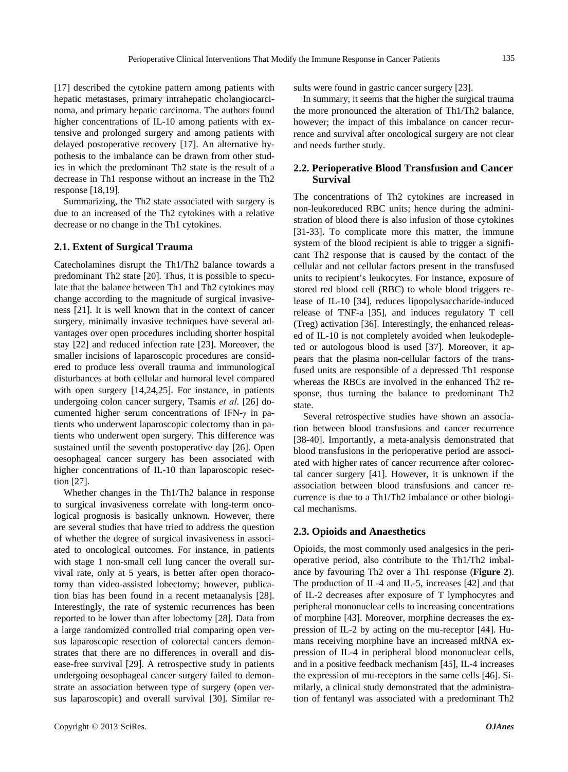[17] described the cytokine pattern among patients with hepatic metastases, primary intrahepatic cholangiocarcinoma, and primary hepatic carcinoma. The authors found higher concentrations of IL-10 among patients with extensive and prolonged surgery and among patients with delayed postoperative recovery [17]. An alternative hypothesis to the imbalance can be drawn from other studies in which the predominant Th2 state is the result of a decrease in Th1 response without an increase in the Th2 response [18,19].

Summarizing, the Th2 state associated with surgery is due to an increased of the Th2 cytokines with a relative decrease or no change in the Th1 cytokines.

#### **2.1. Extent of Surgical Trauma**

Catecholamines disrupt the Th1/Th2 balance towards a predominant Th2 state [20]. Thus, it is possible to speculate that the balance between Th1 and Th2 cytokines may change according to the magnitude of surgical invasiveness [21]. It is well known that in the context of cancer surgery, minimally invasive techniques have several advantages over open procedures including shorter hospital stay [22] and reduced infection rate [23]. Moreover, the smaller incisions of laparoscopic procedures are considered to produce less overall trauma and immunological disturbances at both cellular and humoral level compared with open surgery [14,24,25]. For instance, in patients undergoing colon cancer surgery, Tsamis *et al*. [26] documented higher serum concentrations of IFN-*γ* in patients who underwent laparoscopic colectomy than in patients who underwent open surgery. This difference was sustained until the seventh postoperative day [26]. Open oesophageal cancer surgery has been associated with higher concentrations of IL-10 than laparoscopic resection [27].

Whether changes in the Th1/Th2 balance in response to surgical invasiveness correlate with long-term oncological prognosis is basically unknown. However, there are several studies that have tried to address the question of whether the degree of surgical invasiveness in associated to oncological outcomes. For instance, in patients with stage 1 non-small cell lung cancer the overall survival rate, only at 5 years, is better after open thoracotomy than video-assisted lobectomy; however, publication bias has been found in a recent metaanalysis [28]. Interestingly, the rate of systemic recurrences has been reported to be lower than after lobectomy [28]. Data from a large randomized controlled trial comparing open versus laparoscopic resection of colorectal cancers demonstrates that there are no differences in overall and disease-free survival [29]. A retrospective study in patients undergoing oesophageal cancer surgery failed to demonstrate an association between type of surgery (open versus laparoscopic) and overall survival [30]. Similar results were found in gastric cancer surgery [23].

In summary, it seems that the higher the surgical trauma the more pronounced the alteration of Th1/Th2 balance, however; the impact of this imbalance on cancer recurrence and survival after oncological surgery are not clear and needs further study.

#### **2.2. Perioperative Blood Transfusion and Cancer Survival**

The concentrations of Th2 cytokines are increased in non-leukoreduced RBC units; hence during the administration of blood there is also infusion of those cytokines [31-33]. To complicate more this matter, the immune system of the blood recipient is able to trigger a significant Th2 response that is caused by the contact of the cellular and not cellular factors present in the transfused units to recipient's leukocytes. For instance, exposure of stored red blood cell (RBC) to whole blood triggers release of IL-10 [34], reduces lipopolysaccharide-induced release of TNF-a [35], and induces regulatory T cell (Treg) activation [36]. Interestingly, the enhanced released of IL-10 is not completely avoided when leukodepleted or autologous blood is used [37]. Moreover, it appears that the plasma non-cellular factors of the transfused units are responsible of a depressed Th1 response whereas the RBCs are involved in the enhanced Th2 response, thus turning the balance to predominant Th2 state.

Several retrospective studies have shown an association between blood transfusions and cancer recurrence [38-40]. Importantly, a meta-analysis demonstrated that blood transfusions in the perioperative period are associated with higher rates of cancer recurrence after colorectal cancer surgery [41]. However, it is unknown if the association between blood transfusions and cancer recurrence is due to a Th1/Th2 imbalance or other biological mechanisms.

#### **2.3. Opioids and Anaesthetics**

Opioids, the most commonly used analgesics in the perioperative period, also contribute to the Th1/Th2 imbalance by favouring Th2 over a Th1 response (**Figure 2**). The production of IL-4 and IL-5, increases [42] and that of IL-2 decreases after exposure of T lymphocytes and peripheral mononuclear cells to increasing concentrations of morphine [43]. Moreover, morphine decreases the expression of IL-2 by acting on the mu-receptor [44]. Humans receiving morphine have an increased mRNA expression of IL-4 in peripheral blood mononuclear cells, and in a positive feedback mechanism [45], IL-4 increases the expression of mu-receptors in the same cells [46]. Similarly, a clinical study demonstrated that the administration of fentanyl was associated with a predominant Th2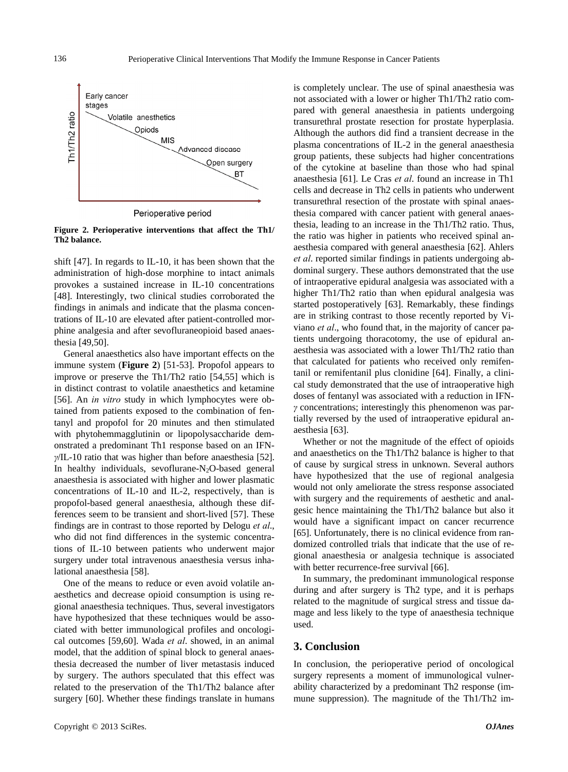

Perioperative period

**Figure 2. Perioperative interventions that affect the Th1/ Th2 balance.** 

shift [47]. In regards to IL-10, it has been shown that the administration of high-dose morphine to intact animals provokes a sustained increase in IL-10 concentrations [48]. Interestingly, two clinical studies corroborated the findings in animals and indicate that the plasma concentrations of IL-10 are elevated after patient-controlled morphine analgesia and after sevofluraneopioid based anaesthesia [49,50].

General anaesthetics also have important effects on the immune system (**Figure 2**) [51-53]. Propofol appears to improve or preserve the Th1/Th2 ratio [54,55] which is in distinct contrast to volatile anaesthetics and ketamine [56]. An *in vitro* study in which lymphocytes were obtained from patients exposed to the combination of fentanyl and propofol for 20 minutes and then stimulated with phytohemmagglutinin or lipopolysaccharide demonstrated a predominant Th1 response based on an IFN*γ*/IL-10 ratio that was higher than before anaesthesia [52]. In healthy individuals, sevoflurane- $N_2O$ -based general anaesthesia is associated with higher and lower plasmatic concentrations of IL-10 and IL-2, respectively, than is propofol-based general anaesthesia, although these differences seem to be transient and short-lived [57]. These findings are in contrast to those reported by Delogu *et al*., who did not find differences in the systemic concentrations of IL-10 between patients who underwent major surgery under total intravenous anaesthesia versus inhalational anaesthesia [58].

One of the means to reduce or even avoid volatile anaesthetics and decrease opioid consumption is using regional anaesthesia techniques. Thus, several investigators have hypothesized that these techniques would be associated with better immunological profiles and oncological outcomes [59,60]. Wada *et al*. showed, in an animal model, that the addition of spinal block to general anaesthesia decreased the number of liver metastasis induced by surgery. The authors speculated that this effect was related to the preservation of the Th1/Th2 balance after surgery [60]. Whether these findings translate in humans is completely unclear. The use of spinal anaesthesia was not associated with a lower or higher Th1/Th2 ratio compared with general anaesthesia in patients undergoing transurethral prostate resection for prostate hyperplasia. Although the authors did find a transient decrease in the plasma concentrations of IL-2 in the general anaesthesia group patients, these subjects had higher concentrations of the cytokine at baseline than those who had spinal anaesthesia [61]. Le Cras *et al*. found an increase in Th1 cells and decrease in Th2 cells in patients who underwent transurethral resection of the prostate with spinal anaesthesia compared with cancer patient with general anaesthesia, leading to an increase in the Th1/Th2 ratio. Thus, the ratio was higher in patients who received spinal anaesthesia compared with general anaesthesia [62]. Ahlers *et al*. reported similar findings in patients undergoing abdominal surgery. These authors demonstrated that the use of intraoperative epidural analgesia was associated with a higher Th1/Th2 ratio than when epidural analgesia was started postoperatively [63]. Remarkably, these findings are in striking contrast to those recently reported by Viviano *et al*., who found that, in the majority of cancer patients undergoing thoracotomy, the use of epidural anaesthesia was associated with a lower Th1/Th2 ratio than that calculated for patients who received only remifentanil or remifentanil plus clonidine [64]. Finally, a clinical study demonstrated that the use of intraoperative high doses of fentanyl was associated with a reduction in IFN*γ* concentrations; interestingly this phenomenon was partially reversed by the used of intraoperative epidural anaesthesia [63].

Whether or not the magnitude of the effect of opioids and anaesthetics on the Th1/Th2 balance is higher to that of cause by surgical stress in unknown. Several authors have hypothesized that the use of regional analgesia would not only ameliorate the stress response associated with surgery and the requirements of aesthetic and analgesic hence maintaining the Th1/Th2 balance but also it would have a significant impact on cancer recurrence [65]. Unfortunately, there is no clinical evidence from randomized controlled trials that indicate that the use of regional anaesthesia or analgesia technique is associated with better recurrence-free survival [66].

In summary, the predominant immunological response during and after surgery is Th2 type, and it is perhaps related to the magnitude of surgical stress and tissue damage and less likely to the type of anaesthesia technique used.

## **3. Conclusion**

In conclusion, the perioperative period of oncological surgery represents a moment of immunological vulnerability characterized by a predominant Th2 response (immune suppression). The magnitude of the Th1/Th2 im-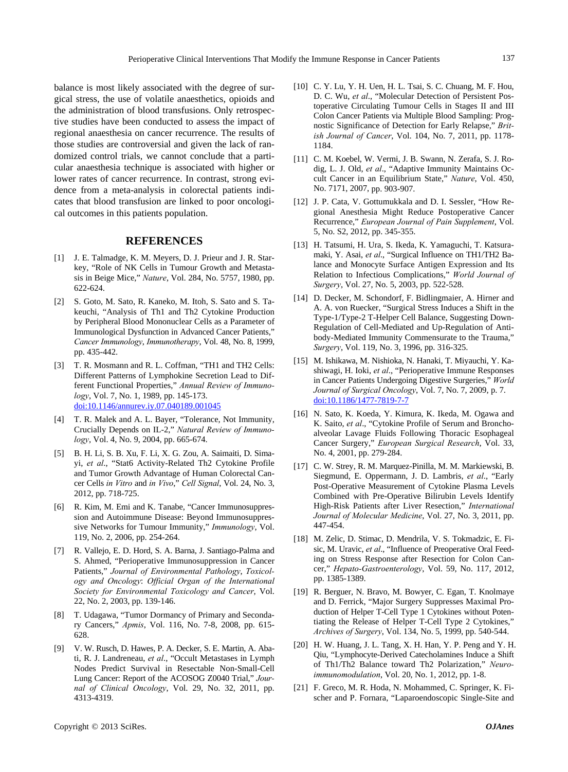balance is most likely associated with the degree of surgical stress, the use of volatile anaesthetics, opioids and the administration of blood transfusions. Only retrospective studies have been conducted to assess the impact of regional anaesthesia on cancer recurrence. The results of those studies are controversial and given the lack of randomized control trials, we cannot conclude that a particular anaesthesia technique is associated with higher or lower rates of cancer recurrence. In contrast, strong evidence from a meta-analysis in colorectal patients indicates that blood transfusion are linked to poor oncological outcomes in this patients population.

## **REFERENCES**

- [1] J. E. Talmadge, K. M. Meyers, D. J. Prieur and J. R. Starkey, "Role of NK Cells in Tumour Growth and Metastasis in Beige Mice," *Nature*, Vol. 284, No. 5757, 1980, pp. 622-624.
- [2] S. Goto, M. Sato, R. Kaneko, M. Itoh, S. Sato and S. Takeuchi, "Analysis of Th1 and Th2 Cytokine Production by Peripheral Blood Mononuclear Cells as a Parameter of Immunological Dysfunction in Advanced Cancer Patients," *Cancer Immunology*, *Immunotherapy*, Vol. 48, No. 8, 1999, pp. 435-442.
- [3] T. R. Mosmann and R. L. Coffman, "TH1 and TH2 Cells: Different Patterns of Lymphokine Secretion Lead to Different Functional Properties," *Annual Review of Immunology*, Vol. 7, No. 1, 1989, pp. 145-173. [doi:10.1146/annurev.iy.07.040189.001045](http://dx.doi.org/10.1146/annurev.iy.07.040189.001045)
- [4] T. R. Malek and A. L. Bayer, "Tolerance, Not Immunity, Crucially Depends on IL-2," *Natural Review of Immunology*, Vol. 4, No. 9, 2004, pp. 665-674.
- [5] B. H. Li, S. B. Xu, F. Li, X. G. Zou, A. Saimaiti, D. Simayi, *et al*., "Stat6 Activity-Related Th2 Cytokine Profile and Tumor Growth Advantage of Human Colorectal Cancer Cells *in Vitro* and *in Vivo*," *Cell Signal*, Vol. 24, No. 3, 2012, pp. 718-725.
- [6] R. Kim, M. Emi and K. Tanabe, "Cancer Immunosuppression and Autoimmune Disease: Beyond Immunosuppressive Networks for Tumour Immunity," *Immunology*, Vol. 119, No. 2, 2006, pp. 254-264.
- [7] R. Vallejo, E. D. Hord, S. A. Barna, J. Santiago-Palma and S. Ahmed, "Perioperative Immunosuppression in Cancer Patients," *Journal of Environmental Pathology*, *Toxicology and Oncology*: *Official Organ of the International Society for Environmental Toxicology and Cancer*, Vol. 22, No. 2, 2003, pp. 139-146.
- [8] T. Udagawa, "Tumor Dormancy of Primary and Secondary Cancers," *Apmis*, Vol. 116, No. 7-8, 2008, pp. 615- 628.
- [9] V. W. Rusch, D. Hawes, P. A. Decker, S. E. Martin, A. Abati, R. J. Landreneau, *et al*., "Occult Metastases in Lymph Nodes Predict Survival in Resectable Non-Small-Cell Lung Cancer: Report of the ACOSOG Z0040 Trial," *Journal of Clinical Oncology*, Vol. 29, No. 32, 2011, pp. 4313-4319.
- [11] C. M. Koebel, W. Vermi, J. B. Swann, N. Zerafa, S. J. Rodig, L. J. Old, *et al*., "Adaptive Immunity Maintains Occult Cancer in an Equilibrium State," *Nature*, Vol. 450, No. 7171, 2007, pp. 903-907.
- [12] J. P. Cata, V. Gottumukkala and D. I. Sessler, "How Regional Anesthesia Might Reduce Postoperative Cancer Recurrence," *European Journal of Pain Supplement*, Vol. 5, No. S2, 2012, pp. 345-355.
- [13] H. Tatsumi, H. Ura, S. Ikeda, K. Yamaguchi, T. Katsuramaki, Y. Asai, *et al*., "Surgical Influence on TH1/TH2 Balance and Monocyte Surface Antigen Expression and Its Relation to Infectious Complications," *World Journal of Surgery*, Vol. 27, No. 5, 2003, pp. 522-528.
- [14] D. Decker, M. Schondorf, F. Bidlingmaier, A. Hirner and A. A. von Ruecker, "Surgical Stress Induces a Shift in the Type-1/Type-2 T-Helper Cell Balance, Suggesting Down-Regulation of Cell-Mediated and Up-Regulation of Antibody-Mediated Immunity Commensurate to the Trauma," *Surgery*, Vol. 119, No. 3, 1996, pp. 316-325.
- [15] M. Ishikawa, M. Nishioka, N. Hanaki, T. Miyauchi, Y. Kashiwagi, H. Ioki, *et al*., "Perioperative Immune Responses in Cancer Patients Undergoing Digestive Surgeries," *World Journal of Surgical Oncology*, Vol. 7, No. 7, 2009, p. 7. [doi:10.1186/1477-7819-7-7](http://dx.doi.org/10.1186/1477-7819-7-7)
- [16] N. Sato, K. Koeda, Y. Kimura, K. Ikeda, M. Ogawa and K. Saito, *et al*., "Cytokine Profile of Serum and Bronchoalveolar Lavage Fluids Following Thoracic Esophageal Cancer Surgery," *European Surgical Research*, Vol. 33, No. 4, 2001, pp. 279-284.
- [17] C. W. Strey, R. M. Marquez-Pinilla, M. M. Markiewski, B. Siegmund, E. Oppermann, J. D. Lambris, *et al*., "Early Post-Operative Measurement of Cytokine Plasma Levels Combined with Pre-Operative Bilirubin Levels Identify High-Risk Patients after Liver Resection," *International Journal of Molecular Medicine*, Vol. 27, No. 3, 2011, pp. 447-454.
- [18] M. Zelic, D. Stimac, D. Mendrila, V. S. Tokmadzic, E. Fisic, M. Uravic, *et al*., "Influence of Preoperative Oral Feeding on Stress Response after Resection for Colon Cancer," *Hepato-Gastroenterology*, Vol. 59, No. 117, 2012, pp. 1385-1389.
- [19] R. Berguer, N. Bravo, M. Bowyer, C. Egan, T. Knolmaye and D. Ferrick, "Major Surgery Suppresses Maximal Production of Helper T-Cell Type 1 Cytokines without Potentiating the Release of Helper T-Cell Type 2 Cytokines," *Archives of Surgery*, Vol. 134, No. 5, 1999, pp. 540-544.
- [20] H. W. Huang, J. L. Tang, X. H. Han, Y. P. Peng and Y. H. Qiu, "Lymphocyte-Derived Catecholamines Induce a Shift of Th1/Th2 Balance toward Th2 Polarization," *Neuroimmunomodulation*, Vol. 20, No. 1, 2012, pp. 1-8.
- [21] F. Greco, M. R. Hoda, N. Mohammed, C. Springer, K. Fischer and P. Fornara, "Laparoendoscopic Single-Site and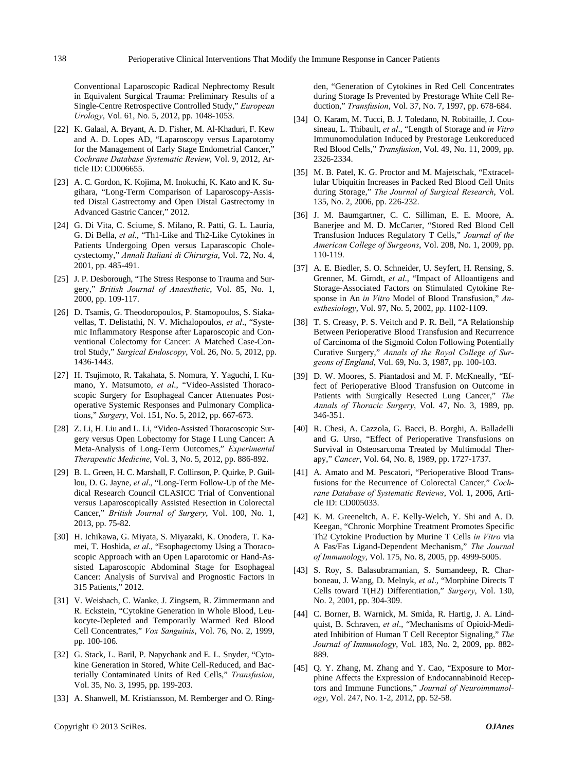Conventional Laparoscopic Radical Nephrectomy Result in Equivalent Surgical Trauma: Preliminary Results of a Single-Centre Retrospective Controlled Study," *European Urology*, Vol. 61, No. 5, 2012, pp. 1048-1053.

- [22] K. Galaal, A. Bryant, A. D. Fisher, M. Al-Khaduri, F. Kew and A. D. Lopes AD, "Laparoscopy versus Laparotomy for the Management of Early Stage Endometrial Cancer," *Cochrane Database Systematic Review*, Vol. 9, 2012, Article ID: CD006655.
- [23] A. C. Gordon, K. Kojima, M. Inokuchi, K. Kato and K. Sugihara, "Long-Term Comparison of Laparoscopy-Assisted Distal Gastrectomy and Open Distal Gastrectomy in Advanced Gastric Cancer," 2012.
- [24] G. Di Vita, C. Sciume, S. Milano, R. Patti, G. L. Lauria, G. Di Bella, *et al*., "Th1-Like and Th2-Like Cytokines in Patients Undergoing Open versus Laparascopic Cholecystectomy," *Annali Italiani di Chirurgia*, Vol. 72, No. 4, 2001, pp. 485-491.
- [25] J. P. Desborough, "The Stress Response to Trauma and Surgery," *British Journal of Anaesthetic*, Vol. 85, No. 1, 2000, pp. 109-117.
- [26] D. Tsamis, G. Theodoropoulos, P. Stamopoulos, S. Siakavellas, T. Delistathi, N. V. Michalopoulos, *et al*., "Systemic Inflammatory Response after Laparoscopic and Conventional Colectomy for Cancer: A Matched Case-Control Study," *Surgical Endoscopy*, Vol. 26, No. 5, 2012, pp. 1436-1443.
- [27] H. Tsujimoto, R. Takahata, S. Nomura, Y. Yaguchi, I. Kumano, Y. Matsumoto, *et al*., "Video-Assisted Thoracoscopic Surgery for Esophageal Cancer Attenuates Postoperative Systemic Responses and Pulmonary Complications," *Surgery*, Vol. 151, No. 5, 2012, pp. 667-673.
- [28] Z. Li, H. Liu and L. Li, "Video-Assisted Thoracoscopic Surgery versus Open Lobectomy for Stage I Lung Cancer: A Meta-Analysis of Long-Term Outcomes," *Experimental Therapeutic Medicine*, Vol. 3, No. 5, 2012, pp. 886-892.
- [29] B. L. Green, H. C. Marshall, F. Collinson, P. Quirke, P. Guillou, D. G. Jayne, *et al*., "Long-Term Follow-Up of the Medical Research Council CLASICC Trial of Conventional versus Laparoscopically Assisted Resection in Colorectal Cancer," *British Journal of Surgery*, Vol. 100, No. 1, 2013, pp. 75-82.
- [30] H. Ichikawa, G. Miyata, S. Miyazaki, K. Onodera, T. Kamei, T. Hoshida, *et al*., "Esophagectomy Using a Thoracoscopic Approach with an Open Laparotomic or Hand-Assisted Laparoscopic Abdominal Stage for Esophageal Cancer: Analysis of Survival and Prognostic Factors in 315 Patients," 2012.
- [31] V. Weisbach, C. Wanke, J. Zingsem, R. Zimmermann and R. Eckstein, "Cytokine Generation in Whole Blood, Leukocyte-Depleted and Temporarily Warmed Red Blood Cell Concentrates," *Vox Sanguinis*, Vol. 76, No. 2, 1999, pp. 100-106.
- [32] G. Stack, L. Baril, P. Napychank and E. L. Snyder, "Cytokine Generation in Stored, White Cell-Reduced, and Bacterially Contaminated Units of Red Cells," *Transfusion*, Vol. 35, No. 3, 1995, pp. 199-203.
- [33] A. Shanwell, M. Kristiansson, M. Remberger and O. Ring-

den, "Generation of Cytokines in Red Cell Concentrates during Storage Is Prevented by Prestorage White Cell Reduction," *Transfusion*, Vol. 37, No. 7, 1997, pp. 678-684.

- [34] O. Karam, M. Tucci, B. J. Toledano, N. Robitaille, J. Cousineau, L. Thibault, *et al*., "Length of Storage and *in Vitro* Immunomodulation Induced by Prestorage Leukoreduced Red Blood Cells," *Transfusion*, Vol. 49, No. 11, 2009, pp. 2326-2334.
- [35] M. B. Patel, K. G. Proctor and M. Majetschak, "Extracellular Ubiquitin Increases in Packed Red Blood Cell Units during Storage," *The Journal of Surgical Research*, Vol. 135, No. 2, 2006, pp. 226-232.
- [36] J. M. Baumgartner, C. C. Silliman, E. E. Moore, A. Banerjee and M. D. McCarter, "Stored Red Blood Cell Transfusion Induces Regulatory T Cells," *Journal of the American College of Surgeons*, Vol. 208, No. 1, 2009, pp. 110-119.
- [37] A. E. Biedler, S. O. Schneider, U. Seyfert, H. Rensing, S. Grenner, M. Girndt, *et al*., "Impact of Alloantigens and Storage-Associated Factors on Stimulated Cytokine Response in An *in Vitro* Model of Blood Transfusion," *Anesthesiology*, Vol. 97, No. 5, 2002, pp. 1102-1109.
- [38] T. S. Creasy, P. S. Veitch and P. R. Bell, "A Relationship Between Perioperative Blood Transfusion and Recurrence of Carcinoma of the Sigmoid Colon Following Potentially Curative Surgery," *Annals of the Royal College of Surgeons of England*, Vol. 69, No. 3, 1987, pp. 100-103.
- [39] D. W. Moores, S. Piantadosi and M. F. McKneally, "Effect of Perioperative Blood Transfusion on Outcome in Patients with Surgically Resected Lung Cancer," *The Annals of Thoracic Surgery*, Vol. 47, No. 3, 1989, pp. 346-351.
- [40] R. Chesi, A. Cazzola, G. Bacci, B. Borghi, A. Balladelli and G. Urso, "Effect of Perioperative Transfusions on Survival in Osteosarcoma Treated by Multimodal Therapy," *Cancer*, Vol. 64, No. 8, 1989, pp. 1727-1737.
- [41] A. Amato and M. Pescatori, "Perioperative Blood Transfusions for the Recurrence of Colorectal Cancer," *Cochrane Database of Systematic Reviews*, Vol. 1, 2006, Article ID: CD005033.
- [42] K. M. Greeneltch, A. E. Kelly-Welch, Y. Shi and A. D. Keegan, "Chronic Morphine Treatment Promotes Specific Th2 Cytokine Production by Murine T Cells *in Vitro* via A Fas/Fas Ligand-Dependent Mechanism," *The Journal of Immunology*, Vol. 175, No. 8, 2005, pp. 4999-5005.
- [43] S. Roy, S. Balasubramanian, S. Sumandeep, R. Charboneau, J. Wang, D. Melnyk, *et al*., "Morphine Directs T Cells toward T(H2) Differentiation," *Surgery*, Vol. 130, No. 2, 2001, pp. 304-309.
- [44] C. Borner, B. Warnick, M. Smida, R. Hartig, J. A. Lindquist, B. Schraven, *et al*., "Mechanisms of Opioid-Mediated Inhibition of Human T Cell Receptor Signaling," *The Journal of Immunology*, Vol. 183, No. 2, 2009, pp. 882- 889.
- [45] Q. Y. Zhang, M. Zhang and Y. Cao, "Exposure to Morphine Affects the Expression of Endocannabinoid Receptors and Immune Functions," *Journal of Neuroimmunology*, Vol. 247, No. 1-2, 2012, pp. 52-58.